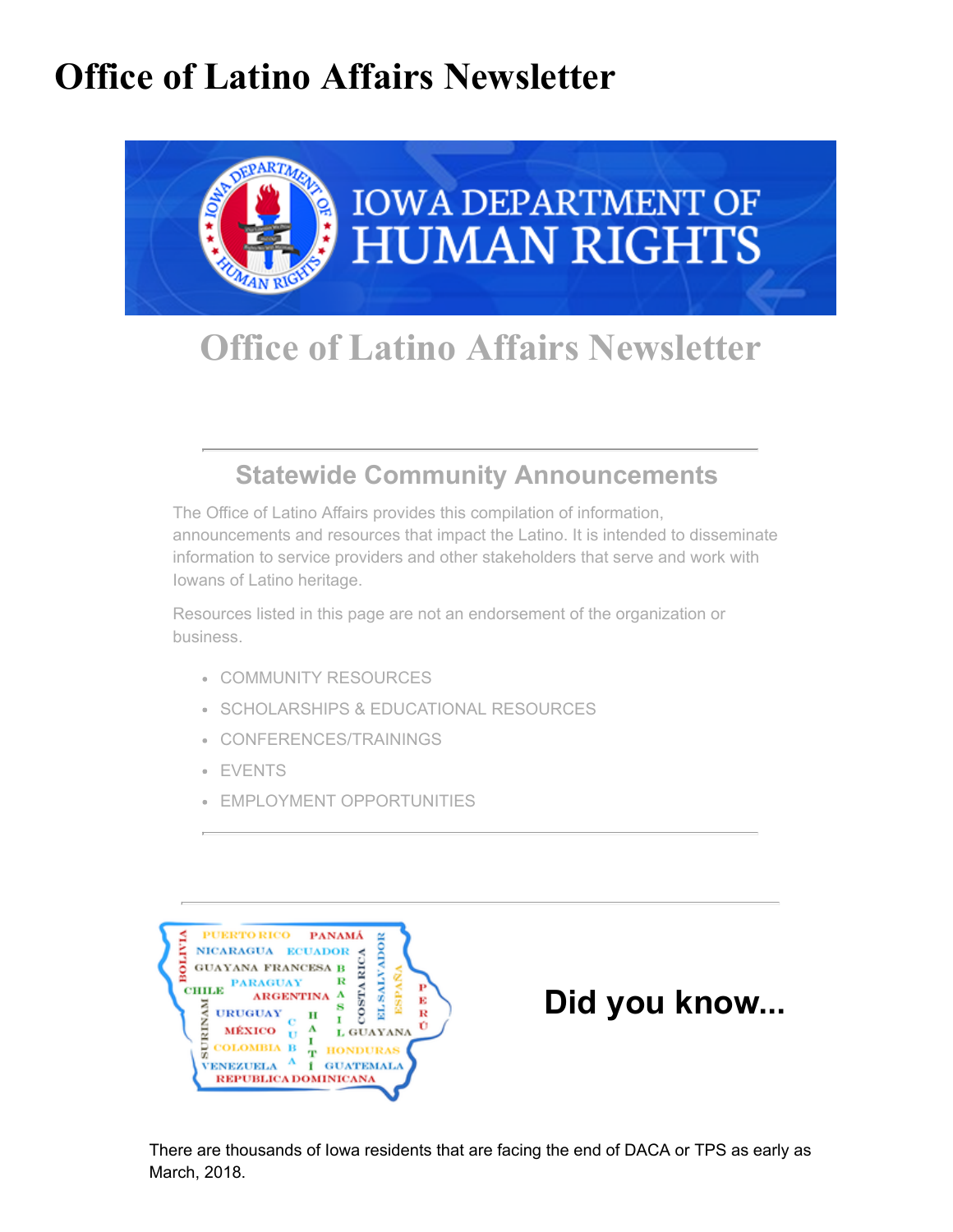# Office of Latino Affairs Newsletter



## Office of Latino Affairs Newsletter

### [Statewide Community Announcements](https://humanrights.iowa.gov/office-latino-affairs-community-announcements?utm_medium=email&utm_source=govdelivery#overlay-context=cas/la)

The Office of Latino Affairs provides this compilation of information, announcements and resources that impact the Latino. It is intended to disseminate information to service providers and other stakeholders that serve and work with Iowans of Latino heritage.

Resources listed in this page are not an endorsement of the organization or business.

- [COMMUNITY RESOURCES](https://humanrights.iowa.gov/office-latino-affairs-community-announcements?utm_medium=email&utm_source=govdelivery#COMMUNITY%20RESOURCES)
- **[SCHOLARSHIPS & EDUCATIONAL RESOURCES](https://humanrights.iowa.gov/office-latino-affairs-community-announcements?utm_medium=email&utm_source=govdelivery#SCHOLARSHIPS%20&%20EDUCATIONAL%20RESOURCES)**
- [CONFERENCES/TRAININGS](https://humanrights.iowa.gov/office-latino-affairs-community-announcements?utm_medium=email&utm_source=govdelivery#CONFERENCES/TRAININGS)
- [EVENTS](https://humanrights.iowa.gov/office-latino-affairs-community-announcements?utm_medium=email&utm_source=govdelivery#EVENTS)
- [EMPLOYMENT OPPORTUNITIES](https://humanrights.iowa.gov/office-latino-affairs-community-announcements?utm_medium=email&utm_source=govdelivery#EMPLOYMENT%20OPPORTUNITIES)



## Did you know...

There are thousands of Iowa residents that are facing the end of DACA or TPS as early as March, 2018.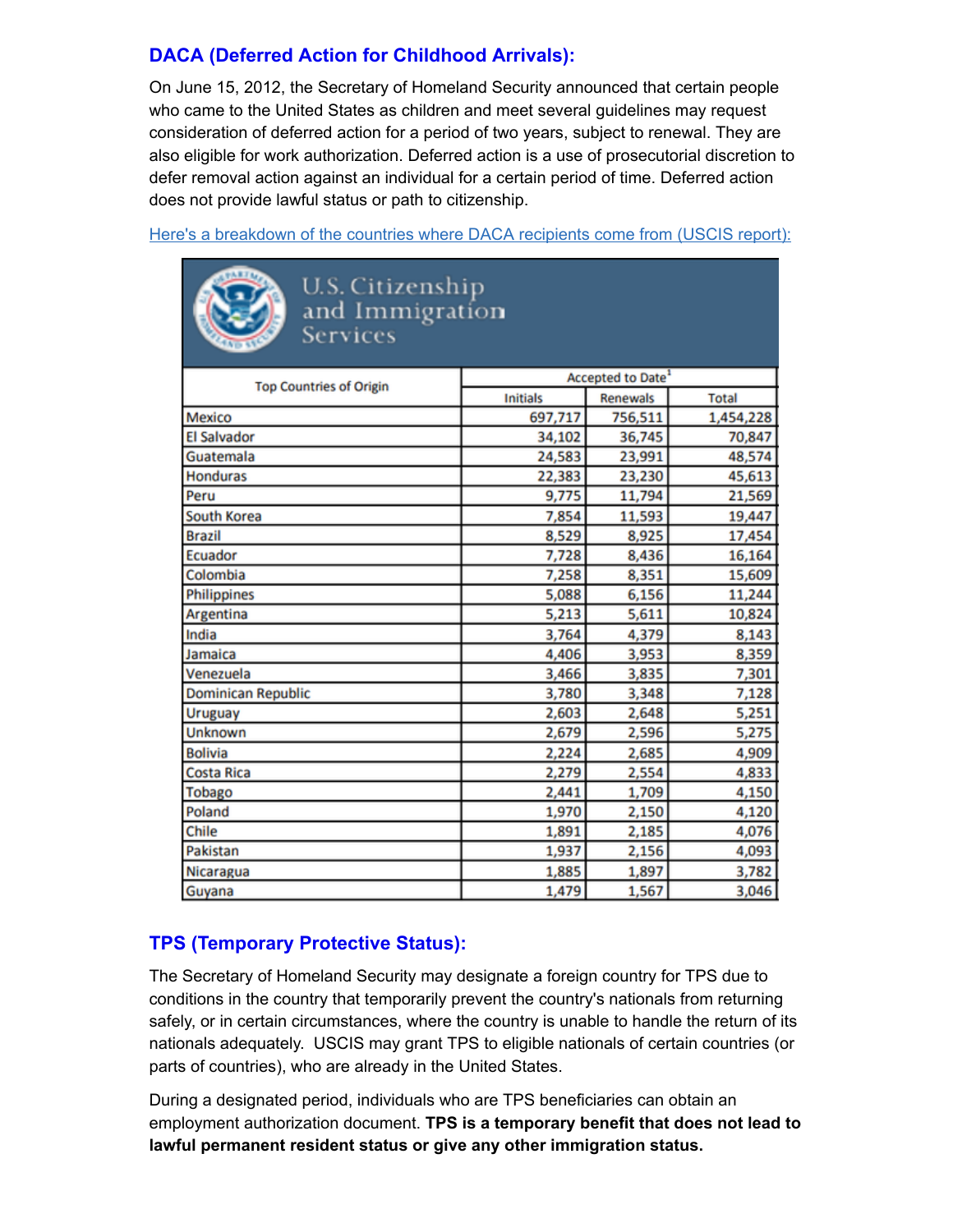#### [DACA \(Deferred Action for Childhood Arrivals\):](https://www.uscis.gov/archive/consideration-deferred-action-childhood-arrivals-daca?utm_medium=email&utm_source=govdelivery)

On June 15, 2012, the Secretary of Homeland Security announced that certain people who came to the United States as children and meet several guidelines may request consideration of deferred action for a period of two years, subject to renewal. They are also eligible for work authorization. Deferred action is a use of prosecutorial discretion to defer removal action against an individual for a certain period of time. Deferred action does not provide lawful status or path to citizenship.

[Here's a breakdown of the countries where DACA recipients come from \(USCIS report\):](https://www.uscis.gov/sites/default/files/USCIS/Resources/Reports%20and%20Studies/Immigration%20Forms%20Data/All%20Form%20Types/DACA/daca_performancedata_fy2017_qtr3.pdf?utm_medium=email&utm_source=govdelivery)



U.S. Citizenship<br>and Immigration **Services** 

| <b>Top Countries of Origin</b> | Accepted to Date <sup>1</sup> |          |              |
|--------------------------------|-------------------------------|----------|--------------|
|                                | <b>Initials</b>               | Renewals | <b>Total</b> |
| Mexico                         | 697,717                       | 756,511  | 1,454,228    |
| <b>El Salvador</b>             | 34,102                        | 36,745   | 70,847       |
| Guatemala                      | 24,583                        | 23,991   | 48,574       |
| <b>Honduras</b>                | 22,383                        | 23,230   | 45,613       |
| Peru                           | 9,775                         | 11,794   | 21,569       |
| South Korea                    | 7,854                         | 11,593   | 19,447       |
| <b>Brazil</b>                  | 8,529                         | 8,925    | 17,454       |
| Ecuador                        | 7,728                         | 8,436    | 16,164       |
| Colombia                       | 7,258                         | 8,351    | 15,609       |
| Philippines                    | 5,088                         | 6,156    | 11,244       |
| Argentina                      | 5,213                         | 5,611    | 10,824       |
| India                          | 3,764                         | 4,379    | 8,143        |
| Jamaica                        | 4,406                         | 3,953    | 8,359        |
| Venezuela                      | 3,466                         | 3,835    | 7,301        |
| <b>Dominican Republic</b>      | 3,780                         | 3,348    | 7,128        |
| Uruguay                        | 2,603                         | 2,648    | 5,251        |
| Unknown                        | 2,679                         | 2,596    | 5,275        |
| <b>Bolivia</b>                 | 2,224                         | 2,685    | 4,909        |
| <b>Costa Rica</b>              | 2,279                         | 2,554    | 4,833        |
| Tobago                         | 2,441                         | 1,709    | 4,150        |
| Poland                         | 1,970                         | 2,150    | 4,120        |
| Chile                          | 1,891                         | 2,185    | 4,076        |
| Pakistan                       | 1,937                         | 2,156    | 4,093        |
| Nicaragua                      | 1,885                         | 1,897    | 3,782        |
| Guyana                         | 1,479                         | 1,567    | 3,046        |

#### [TPS \(Temporary Protective Status\):](https://www.uscis.gov/humanitarian/temporary-protected-status?utm_medium=email&utm_source=govdelivery)

The Secretary of Homeland Security may designate a foreign country for TPS due to conditions in the country that temporarily prevent the country's nationals from returning safely, or in certain circumstances, where the country is unable to handle the return of its nationals adequately. USCIS may grant TPS to eligible nationals of certain countries (or parts of countries), who are already in the United States.

During a designated period, individuals who are TPS beneficiaries can obtain an employment authorization document. TPS is a temporary benefit that does not lead to lawful permanent resident status or give any other immigration status.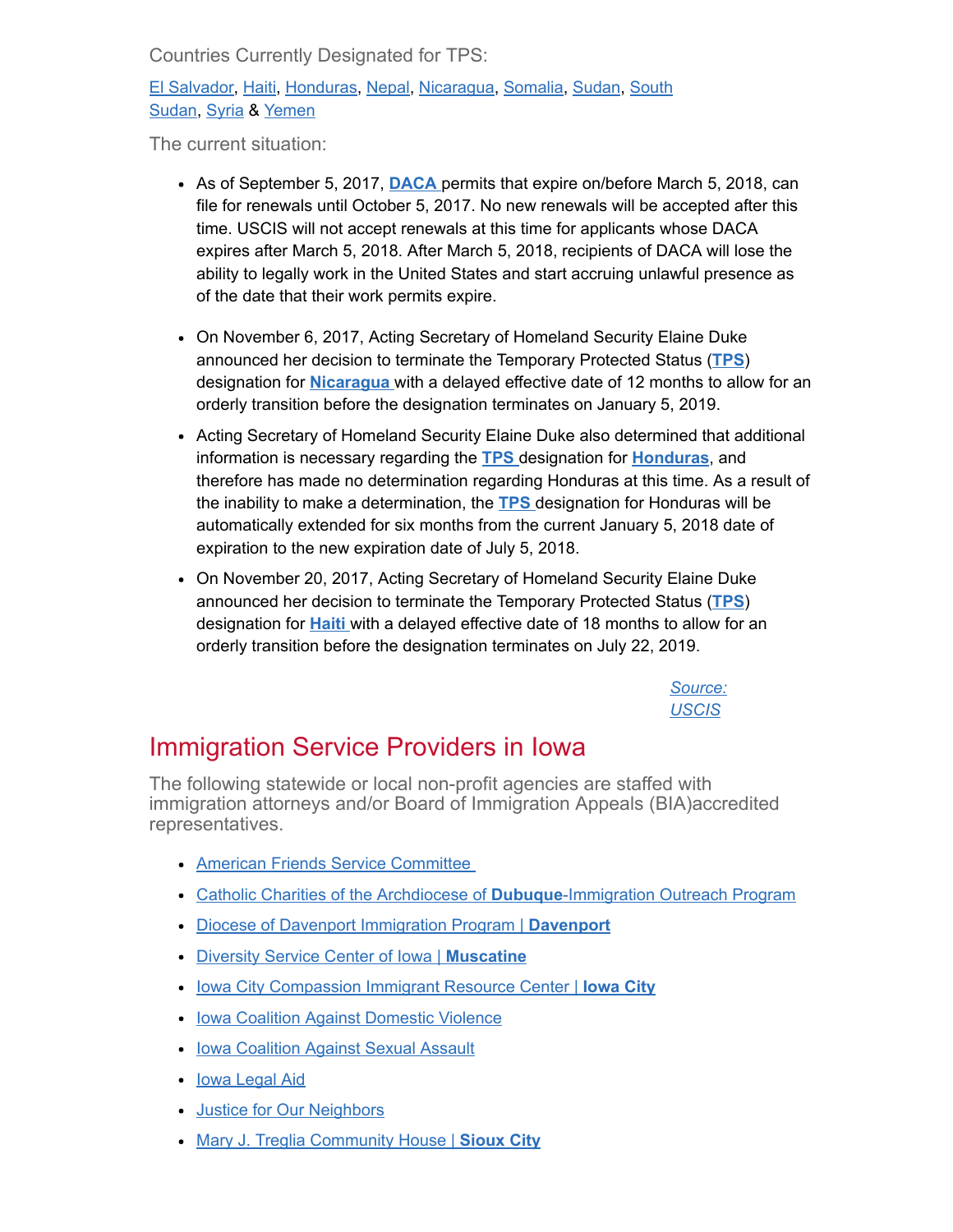Countries Currently Designated for TPS:

[El Salvador](https://www.uscis.gov/node/41898?utm_medium=email&utm_source=govdelivery)[,](https://www.uscis.gov/node/41416?utm_medium=email&utm_source=govdelivery) [Haiti](https://www.uscis.gov/node/41771?utm_medium=email&utm_source=govdelivery)[, H](https://www.uscis.gov/node/41416?utm_medium=email&utm_source=govdelivery)[onduras](https://www.uscis.gov/node/41422?utm_medium=email&utm_source=govdelivery)[, N](https://www.uscis.gov/node/41416?utm_medium=email&utm_source=govdelivery)[epal](http://www.uscis.gov/humanitarian/temporary-protected-status-deferred-enforced-departure/temporary-protected-status-designated-country-nepal?utm_medium=email&utm_source=govdelivery)[, N](https://www.uscis.gov/node/41416?utm_medium=email&utm_source=govdelivery)[icaragu](https://www.uscis.gov/node/42241?utm_medium=email&utm_source=govdelivery)[a,](https://www.uscis.gov/node/41416?utm_medium=email&utm_source=govdelivery) [Somalia](https://www.uscis.gov/node/41671?utm_medium=email&utm_source=govdelivery)[, S](https://www.uscis.gov/node/41416?utm_medium=email&utm_source=govdelivery)[uda](https://www.uscis.gov/node/42192?utm_medium=email&utm_source=govdelivery)[n, South](https://www.uscis.gov/node/41416?utm_medium=email&utm_source=govdelivery) Sudan, [Syria](https://www.uscis.gov/node/41547?utm_medium=email&utm_source=govdelivery) & [Yemen](https://www.uscis.gov/node/49591?utm_medium=email&utm_source=govdelivery)

The current situation:

- As of September 5, 2017, **[DACA](https://www.dhs.gov/news/2017/09/05/memorandum-rescission-daca?utm_medium=email&utm_source=govdelivery)** permits that expire on/before March 5, 2018, can file for renewals until October 5, 2017. No new renewals will be accepted after this time. USCIS will not accept renewals at this time for applicants whose DACA expires after March 5, 2018. After March 5, 2018, recipients of DACA will lose the ability to legally work in the United States and start accruing unlawful presence as of the date that their work permits expire.
- On November 6, 2017, Acting Secretary of Homeland Security Elaine Duke announced her decision to terminate the Temporary Protected Status ([TPS](https://www.dhs.gov/news/2017/11/06/acting-secretary-elaine-duke-announcement-temporary-protected-status-nicaragua-and?utm_medium=email&utm_source=govdelivery)) designation for **Nicaragua** with a delayed effective date of 12 months to allow for an orderly transition before the designation terminates on January 5, 2019.
- Acting Secretary of Homeland Security Elaine Duke also determined that additional information is necessary regarding the [TPS](https://www.dhs.gov/news/2017/11/06/acting-secretary-elaine-duke-announcement-temporary-protected-status-nicaragua-and?utm_medium=email&utm_source=govdelivery) designation for [Honduras](https://www.dhs.gov/news/2017/11/06/acting-secretary-elaine-duke-announcement-temporary-protected-status-nicaragua-and?utm_medium=email&utm_source=govdelivery), and therefore has made no determination regarding Honduras at this time. As a result of the inability to make a determination, the **[TPS](https://www.dhs.gov/news/2017/11/06/acting-secretary-elaine-duke-announcement-temporary-protected-status-nicaragua-and?utm_medium=email&utm_source=govdelivery)** designation for Honduras will be automatically extended for six months from the current January 5, 2018 date of expiration to the new expiration date of July 5, 2018.
- On November 20, 2017, Acting Secretary of Homeland Security Elaine Duke announced her decision to terminate the Temporary Protected Status ([TPS](https://www.dhs.gov/news/2017/11/20/acting-secretary-elaine-duke-announcement-temporary-protected-status-haiti?utm_medium=email&utm_source=govdelivery)) designation for **[Haiti](https://www.dhs.gov/news/2017/11/20/acting-secretary-elaine-duke-announcement-temporary-protected-status-haiti?utm_medium=email&utm_source=govdelivery)** with a delayed effective date of 18 months to allow for an orderly transition before the designation terminates on July 22, 2019.

[Source:](https://www.uscis.gov/?utm_medium=email&utm_source=govdelivery) **USCIS** 

### Immigration Service Providers in Iowa

The following statewide or local non-profit agencies are staffed with immigration attorneys and/or Board of Immigration Appeals (BIA)accredited representatives.

- [American Friends Service Committee](https://www.afsc.org/program/iowa-immigrant-rights-program?utm_medium=email&utm_source=govdelivery)
- [Catholic Charities of the Archdiocese of](https://www.catholiccharitiesdubuque.org/catholic-charities-services/immigration-legal-services/?utm_medium=email&utm_source=govdelivery) **Dubuque**-Immigration Outreach Program
- [Diocese of Davenport Immigration Program |](https://davenportdiocese.org/immigration-program?utm_medium=email&utm_source=govdelivery) Davenport
- [Diversity Service Center of Iowa |](https://sites.google.com/site/diversityservicecenterofiowa/?utm_medium=email&utm_source=govdelivery) Muscatine
- [Iowa City Compassion Immigrant Resource Center |](http://www.iccompassion.org/?utm_medium=email&utm_source=govdelivery) Iowa City
- [Iowa Coalition Against Domestic Violence](http://www.icadv.org/?utm_medium=email&utm_source=govdelivery)
- **[Iowa Coalition Against Sexual Assault](https://www.iowacasa.org/?utm_medium=email&utm_source=govdelivery)**
- **[Iowa Legal Aid](https://www.iowalegalaid.org/?utm_medium=email&utm_source=govdelivery)**
- **[Justice for Our Neighbors](http://www.iowajfon.org/?utm_medium=email&utm_source=govdelivery)**
- [Mary J. Treglia Community House |](http://marytreglia.org/?utm_medium=email&utm_source=govdelivery) Sioux City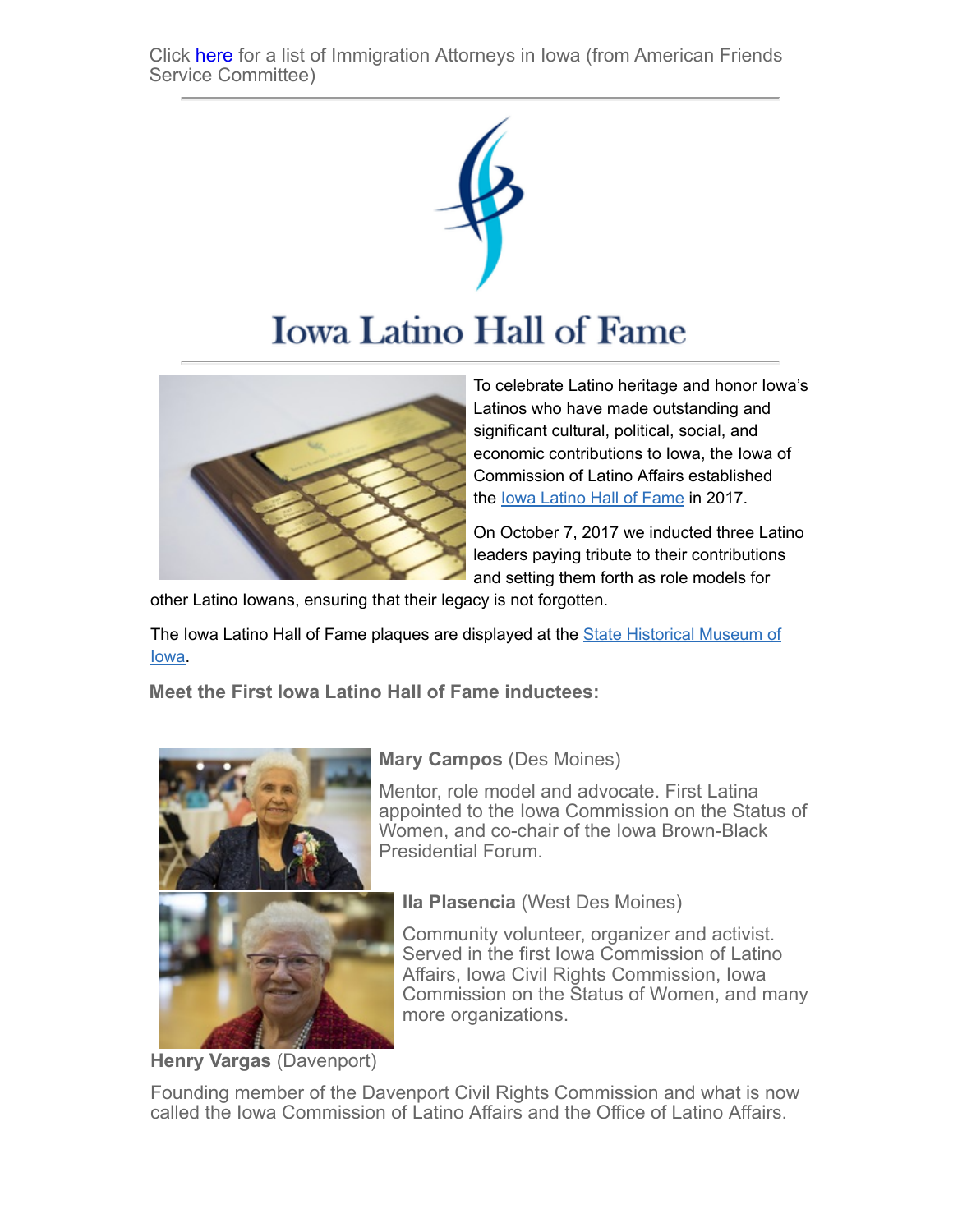Click [here](https://humanrights.iowa.gov/sites/default/files/media/Immigration%20lawyers%20list%206-14-17.pdf?utm_medium=email&utm_source=govdelivery) for a list of Immigration Attorneys in Iowa (from American Friends Service Committee)



# **Iowa Latino Hall of Fame**



To celebrate Latino heritage and honor Iowa's Latinos who have made outstanding and significant cultural, political, social, and economic contributions to Iowa, the Iowa of Commission of Latino Affairs established the [Iowa Latino Hall of Fame](https://humanrights.iowa.gov/cas/la/iowa-latino-hall-fame?utm_medium=email&utm_source=govdelivery) in 2017.

On October 7, 2017 we inducted three Latino leaders paying tribute to their contributions and setting them forth as role models for

other Latino Iowans, ensuring that their legacy is not forgotten.

[The Iowa Latino Hall of Fame plaques are displayed at the State Historical Museum of](https://iowaculture.gov/?utm_medium=email&utm_source=govdelivery) Iowa.

Meet the First Iowa Latino Hall of Fame inductees:



Mary Campos (Des Moines)

Mentor, role model and advocate. First Latina appointed to the Iowa Commission on the Status of Women, and co-chair of the Iowa Brown-Black Presidential Forum.



Community volunteer, organizer and activist. Served in the first Iowa Commission of Latino Affairs, Iowa Civil Rights Commission, Iowa Commission on the Status of Women, and many more organizations.

Henry Vargas (Davenport)

Founding member of the Davenport Civil Rights Commission and what is now called the Iowa Commission of Latino Affairs and the Office of Latino Affairs.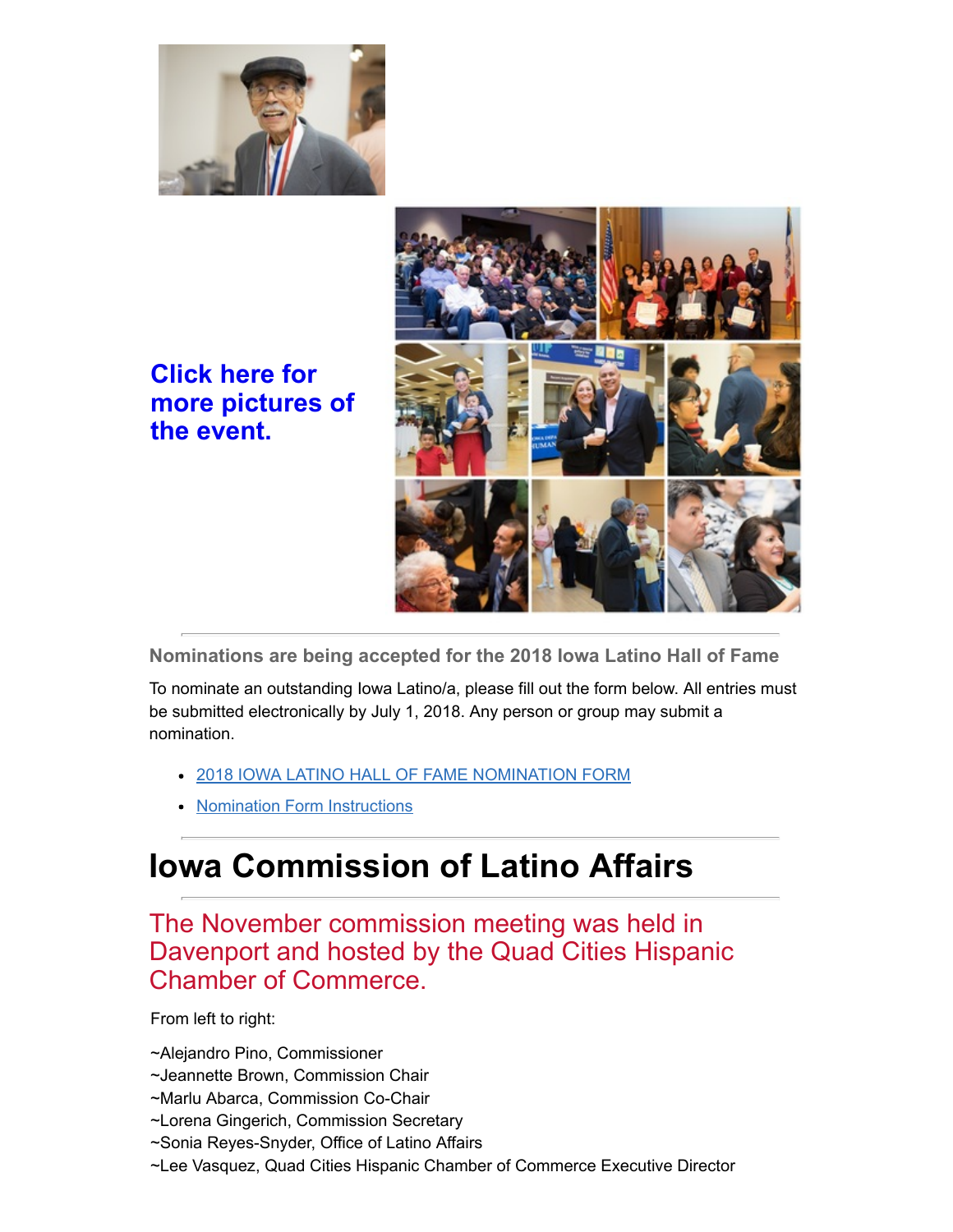

### Click here for [more pictures of](https://humanrights.iowa.gov/sites/default/files/media/2017%20Iowa%20Latino%20Hall%20of%20Fame%20Induction%20Ceremony.pdf?utm_medium=email&utm_source=govdelivery) the event.



Nominations are being accepted for the 2018 Iowa Latino Hall of Fame

To nominate an outstanding Iowa Latino/a, please fill out the form below. All entries must be submitted electronically by July 1, 2018. Any person or group may submit a nomination.

- [2018 IOWA LATINO HALL OF FAME NOMINATION FORM](https://humanrights.iowa.gov/sites/default/files/media/2018%20IOWA%20LATINO%20HALL%20OF%20FAME%20NOMINATION%20FORM.pdf?utm_medium=email&utm_source=govdelivery)
- [Nomination Form Instructions](https://humanrights.iowa.gov/sites/default/files/media/2018%20Iowa%20Latino%20Hall%20of%20Fame%20Nomination%20Intructions.pdf?utm_medium=email&utm_source=govdelivery)

## Iowa Commission of Latino Affairs

### The November commission meeting was held in Davenport and hosted by the Quad Cities Hispanic Chamber of Commerce.

#### From left to right:

~Alejandro Pino, Commissioner

- ~Jeannette Brown, Commission Chair
- ~Marlu Abarca, Commission Co-Chair
- ~Lorena Gingerich, Commission Secretary
- ~Sonia Reyes-Snyder, Office of Latino Affairs
- ~Lee Vasquez, Quad Cities Hispanic Chamber of Commerce Executive Director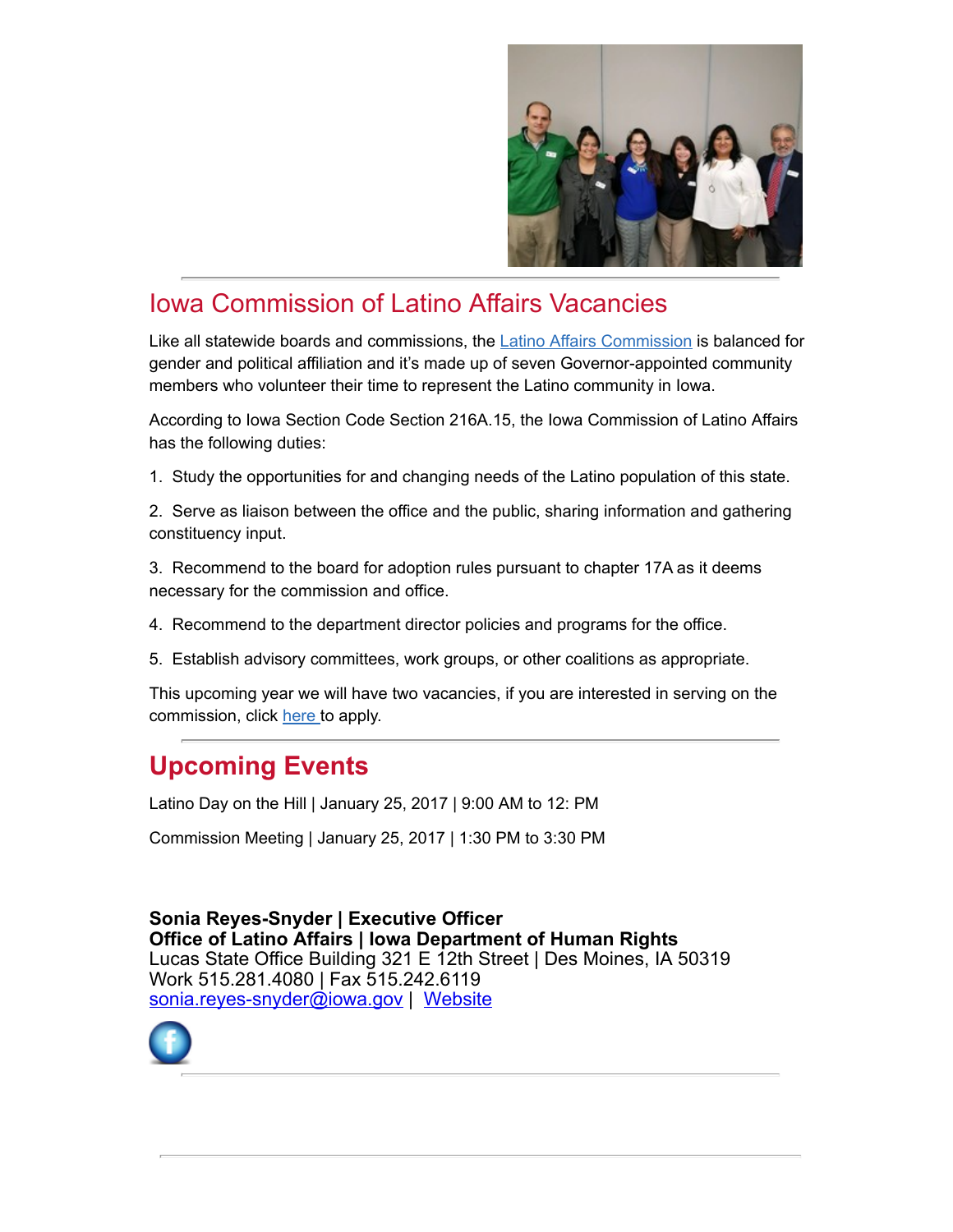

### Iowa Commission of Latino Affairs Vacancies

Like all statewide boards and commissions, the [Latino Affairs Commission](https://humanrights.iowa.gov/cas/welcome-office-latino-affairs/commission?utm_medium=email&utm_source=govdelivery) is balanced for gender and political affiliation and it's made up of seven Governor-appointed community members who volunteer their time to represent the Latino community in Iowa.

According to Iowa Section Code Section 216A.15, the Iowa Commission of Latino Affairs has the following duties:

1. Study the opportunities for and changing needs of the Latino population of this state.

2. Serve as liaison between the office and the public, sharing information and gathering constituency input.

3. Recommend to the board for adoption rules pursuant to chapter 17A as it deems necessary for the commission and office.

- 4. Recommend to the department director policies and programs for the office.
- 5. Establish advisory committees, work groups, or other coalitions as appropriate.

This upcoming year we will have two vacancies, if you are interested in serving on the commission, click [here](https://openup.iowa.gov/board/163/Latino+Affairs+Commission/?utm_medium=email&utm_source=govdelivery) to apply.

### Upcoming Events

Latino Day on the Hill | January 25, 2017 | 9:00 AM to 12: PM

Commission Meeting | January 25, 2017 | 1:30 PM to 3:30 PM

Sonia Reyes-Snyder | Executive Officer Office of Latino Affairs | Iowa Department of Human Rights Lucas State Office Building 321 E 12th Street | Des Moines, IA 50319 Work 515.281.4080 | Fax 515.242.6119 [sonia.reyes-snyder@iowa.gov](mailto:sonia.reyes-snyder@iowa.gov) | [Website](https://humanrights.iowa.gov/cas/la?utm_medium=email&utm_source=govdelivery)